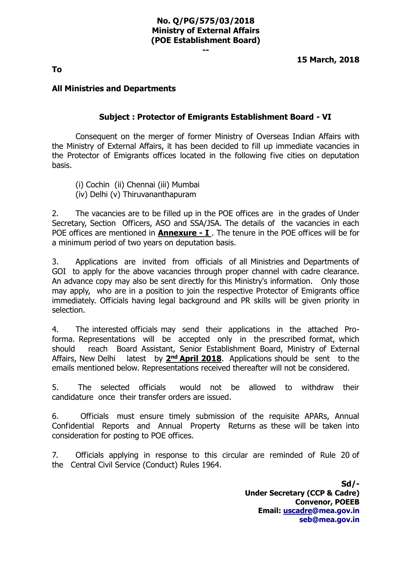#### **No. Q/PG/575/03/2018 Ministry of External Affairs (POE Establishment Board)**

**--**

**15 March, 2018**

**To**

## **All Ministries and Departments**

#### **Subject : Protector of Emigrants Establishment Board - VI**

Consequent on the merger of former Ministry of Overseas Indian Affairs with the Ministry of External Affairs, it has been decided to fill up immediate vacancies in the Protector of Emigrants offices located in the following five cities on deputation basis.

(i) Cochin (ii) Chennai (iii) Mumbai (iv) Delhi (v) Thiruvananthapuram

2. The vacancies are to be filled up in the POE offices are in the grades of Under Secretary, Section Officers, ASO and SSA/JSA. The details of the vacancies in each POE offices are mentioned in **Annexure - I** . The tenure in the POE offices will be for a minimum period of two years on deputation basis.

3. Applications are invited from officials of all Ministries and Departments of GOI to apply for the above vacancies through proper channel with cadre clearance. An advance copy may also be sent directly for this Ministry's information. Only those may apply, who are in a position to join the respective Protector of Emigrants office immediately. Officials having legal background and PR skills will be given priority in selection.

4. The interested officials may send their applications in the attached Proforma. Representations will be accepted only in the prescribed format, which should reach Board Assistant, Senior Establishment Board, Ministry of External Affairs, New Delhi latest by 2<sup>nd</sup> April 2018. Applications should be sent to the emails mentioned below. Representations received thereafter will not be considered.

5. The selected officials would not be allowed to withdraw their candidature once their transfer orders are issued.

6. Officials must ensure timely submission of the requisite APARs, Annual Confidential Reports and Annual Property Returns as these will be taken into consideration for posting to POE offices.

7. Officials applying in response to this circular are reminded of Rule 20 of the Central Civil Service (Conduct) Rules 1964.

> **Sd/- Under Secretary (CCP & Cadre) Convenor, POEEB Email: [uscadre@mea.gov.in](mailto:uscadre@mea.gov.in) [seb@mea.gov.in](mailto:seb@mea.gov.in)**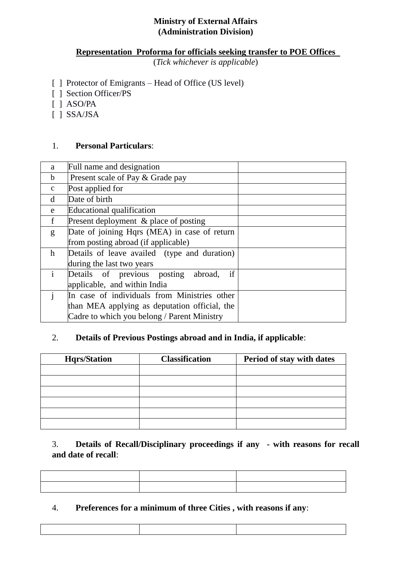# **Ministry of External Affairs (Administration Division)**

## **Representation Proforma for officials seeking transfer to POE Offices**

(*Tick whichever is applicable*)

- [ ] Protector of Emigrants Head of Office (US level)
- [ ] Section Officer/PS
- [ ] ASO/PA
- [ ] SSA/JSA

#### 1. **Personal Particulars**:

| a            | Full name and designation                     |  |
|--------------|-----------------------------------------------|--|
| $\mathbf b$  | Present scale of Pay & Grade pay              |  |
| $\mathbf{C}$ | Post applied for                              |  |
| d            | Date of birth                                 |  |
| e            | Educational qualification                     |  |
| $\mathbf f$  | Present deployment & place of posting         |  |
| g            | Date of joining Hqrs (MEA) in case of return  |  |
|              | from posting abroad (if applicable)           |  |
| $\mathbf{h}$ | Details of leave availed (type and duration)  |  |
|              | during the last two years                     |  |
| $\mathbf{i}$ | Details of previous posting abroad,<br>if     |  |
|              | applicable, and within India                  |  |
| $\mathbf{i}$ | In case of individuals from Ministries other  |  |
|              | than MEA applying as deputation official, the |  |
|              | Cadre to which you belong / Parent Ministry   |  |

# 2. **Details of Previous Postings abroad and in India, if applicable**:

| <b>Hqrs/Station</b> | <b>Classification</b> | Period of stay with dates |  |  |  |  |
|---------------------|-----------------------|---------------------------|--|--|--|--|
|                     |                       |                           |  |  |  |  |
|                     |                       |                           |  |  |  |  |
|                     |                       |                           |  |  |  |  |
|                     |                       |                           |  |  |  |  |
|                     |                       |                           |  |  |  |  |
|                     |                       |                           |  |  |  |  |

# 3. **Details of Recall/Disciplinary proceedings if any - with reasons for recall and date of recall**:

# 4. **Preferences for a minimum of three Cities , with reasons if any**: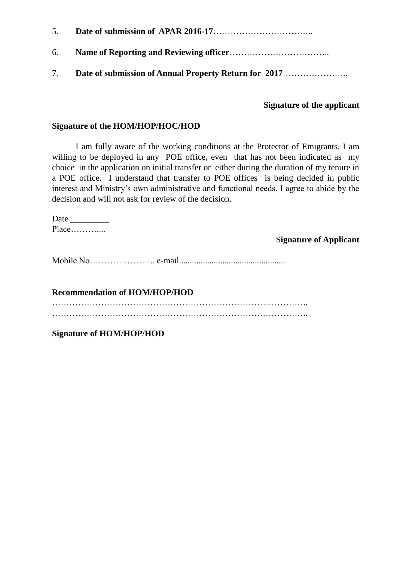- 5. **Date of submission of APAR 2016-17**…………………………….. 6. **Name of Reporting and Reviewing officer**……………………………..
- 7. **Date of submission of Annual Property Return for 2017**…………………..

#### **Signature of the applicant**

#### **Signature of the HOM/HOP/HOC/HOD**

I am fully aware of the working conditions at the Protector of Emigrants. I am willing to be deployed in any POE office, even that has not been indicated as my choice in the application on initial transfer or either during the duration of my tenure in a POE office. I understand that transfer to POE offices is being decided in public interest and Ministry's own administrative and functional needs. I agree to abide by the decision and will not ask for review of the decision.

Date \_\_\_\_\_\_\_\_\_ Place………....

S**ignature of Applicant**

Mobile No………………….. e-mail.................................................

**Recommendation of HOM/HOP/HOD** ……………………………………………………………………………..

……………………………………………………………………………..

**Signature of HOM/HOP/HOD**